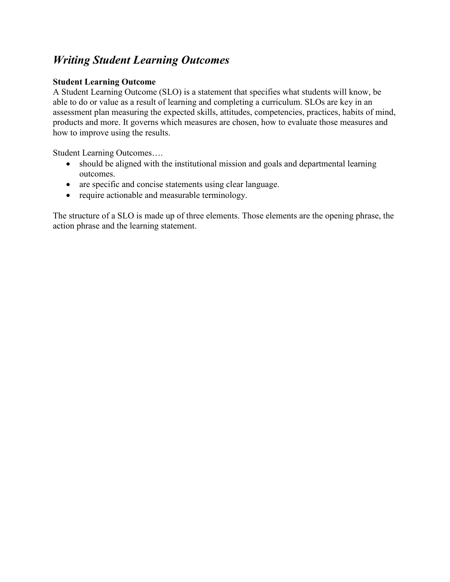## *Writing Student Learning Outcomes*

#### **Student Learning Outcome**

A Student Learning Outcome (SLO) is a statement that specifies what students will know, be able to do or value as a result of learning and completing a curriculum. SLOs are key in an assessment plan measuring the expected skills, attitudes, competencies, practices, habits of mind, products and more. It governs which measures are chosen, how to evaluate those measures and how to improve using the results.

Student Learning Outcomes….

- should be aligned with the institutional mission and goals and departmental learning outcomes.
- are specific and concise statements using clear language.
- require actionable and measurable terminology.

The structure of a SLO is made up of three elements. Those elements are the opening phrase, the action phrase and the learning statement.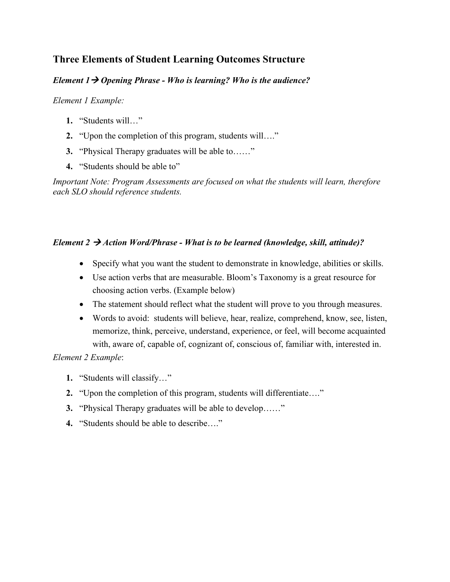### **Three Elements of Student Learning Outcomes Structure**

#### *Element 1 Opening Phrase - Who is learning? Who is the audience?*

#### *Element 1 Example:*

- **1.** "Students will…"
- **2.** "Upon the completion of this program, students will…."
- **3.** "Physical Therapy graduates will be able to……"
- **4.** "Students should be able to"

*Important Note: Program Assessments are focused on what the students will learn, therefore each SLO should reference students.* 

#### *Element 2*  $\rightarrow$  *Action Word/Phrase - What is to be learned (knowledge, skill, attitude)?*

- Specify what you want the student to demonstrate in knowledge, abilities or skills.
- Use action verbs that are measurable. Bloom's Taxonomy is a great resource for choosing action verbs. (Example below)
- The statement should reflect what the student will prove to you through measures.
- Words to avoid: students will believe, hear, realize, comprehend, know, see, listen, memorize, think, perceive, understand, experience, or feel, will become acquainted with, aware of, capable of, cognizant of, conscious of, familiar with, interested in.

*Element 2 Example*:

- **1.** "Students will classify…"
- **2.** "Upon the completion of this program, students will differentiate…."
- **3.** "Physical Therapy graduates will be able to develop……"
- **4.** "Students should be able to describe…."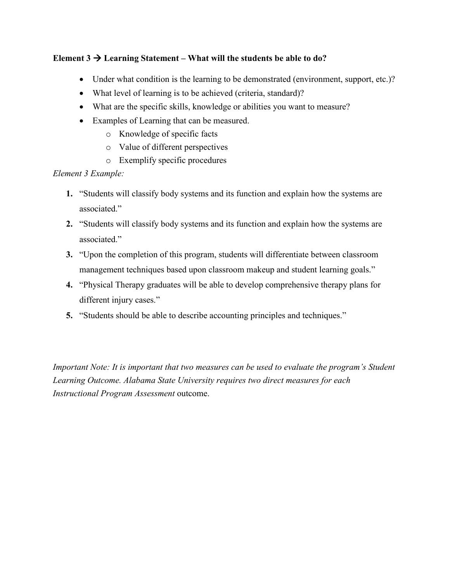#### Element  $3 \rightarrow$  Learning Statement – What will the students be able to do?

- Under what condition is the learning to be demonstrated (environment, support, etc.)?
- What level of learning is to be achieved (criteria, standard)?
- What are the specific skills, knowledge or abilities you want to measure?
- Examples of Learning that can be measured.
	- o Knowledge of specific facts
	- o Value of different perspectives
	- o Exemplify specific procedures

#### *Element 3 Example:*

- **1.** "Students will classify body systems and its function and explain how the systems are associated."
- **2.** "Students will classify body systems and its function and explain how the systems are associated."
- **3.** "Upon the completion of this program, students will differentiate between classroom management techniques based upon classroom makeup and student learning goals."
- **4.** "Physical Therapy graduates will be able to develop comprehensive therapy plans for different injury cases."
- **5.** "Students should be able to describe accounting principles and techniques."

*Important Note: It is important that two measures can be used to evaluate the program's Student Learning Outcome. Alabama State University requires two direct measures for each Instructional Program Assessment* outcome.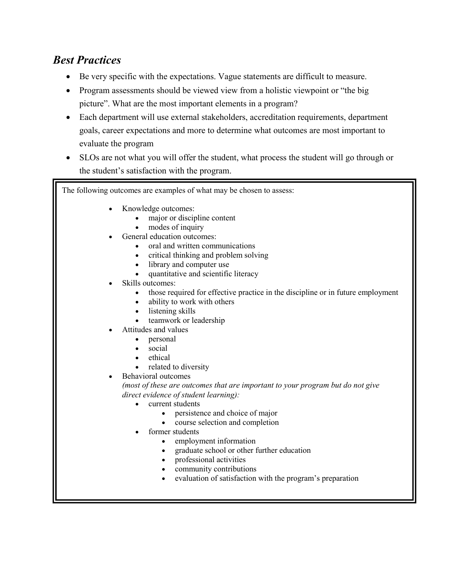# *Best Practices*

- Be very specific with the expectations. Vague statements are difficult to measure.
- Program assessments should be viewed view from a holistic viewpoint or "the big" picture". What are the most important elements in a program?
- Each department will use external stakeholders, accreditation requirements, department goals, career expectations and more to determine what outcomes are most important to evaluate the program
- SLOs are not what you will offer the student, what process the student will go through or the student's satisfaction with the program.

The following outcomes are examples of what may be chosen to assess:

- Knowledge outcomes:
	- major or discipline content
	- modes of inquiry
- General education outcomes:
	- oral and written communications
	- critical thinking and problem solving
	- library and computer use
	- quantitative and scientific literacy
- Skills outcomes:
	- those required for effective practice in the discipline or in future employment
	- ability to work with others
	- listening skills
	- teamwork or leadership
- Attitudes and values
	- personal
	- social
	- ethical
	- related to diversity
- Behavioral outcomes

*(most of these are outcomes that are important to your program but do not give direct evidence of student learning):*

- current students
	- persistence and choice of major
	- course selection and completion
- former students
	- employment information
	- graduate school or other further education
	- professional activities
	- community contributions
	- evaluation of satisfaction with the program's preparation